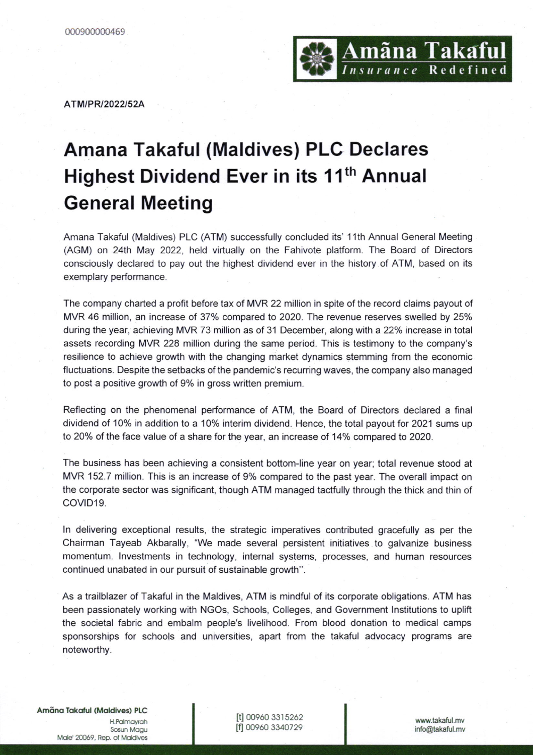

ATM/PR/2022/52A

## Amana Takaful (Maldives) PLC Declares Highest Dividend Ever in its 11<sup>th</sup> Annual General Meeting

Amana Takaful (Maldives) PLC (ATM) successfully concluded its' '11th Annual General Meeting (AGM) on 24lh May 2022, held virtually on the Fahivote platform. The Board of Directors consciously declared to pay out the highest dividend ever in the history of ATM, based on its exemplary performance.

The company charted a profit before tax of MVR 22 million in spite of the record claims payout of MVR 46 million, an increase of 37% compared to 2O2O. The revenue reserves swelled by 25% during the year, achieving MVR 73 million as of 31 December, along with a 22% increase in total assets recording MVR 228 million during the same period. This is testimony to the company's resilience to achieve growth with the changing market dynamics stemming from the economic fluctuations. Despite the setbacks of the pandemic's recurring waves, the company also managed to post a positive growth of 9% in gross written premium.

Reflecting on the phenomenal performance of ATM, the Board of Directors declared a final dividend of 10% in addition to a 10% interim dividend. Hence, the total payout for 2021 sums up to 20% of the face value of a share for the year, an increase of 14% compared to 2020.

The business has been achieving a consistent bottom-line year on year; total revenue stood at MVR 152.7 million. This is an increase of 9% compared to the past year. The overall impact on the corporate sector was significant, though ATM managed tactfully through the thick and thin of COVID19.

ln delivering exceptional results, the strategic imperatives contributed gracefully as per the Chairman Tayeab Akbarally, "We made several persistent initiatives to galvanize business momentum. lnvestments in technology, internal systems, processes, and human resources continued unabated in our pursuit of sustainable growth".

As a trailblazer of Takaful in the Maldives, ATM is mindful of its corporate obligations. ATM has been passionately working with NGOs, Schools, Colleges, and Government lnstitutions to uplift the societal fabric and embalm people's livelihood. From blood donation to medical camps sponsorships for schools and universities, apart from the takaful advocacy programs are noteworthy.